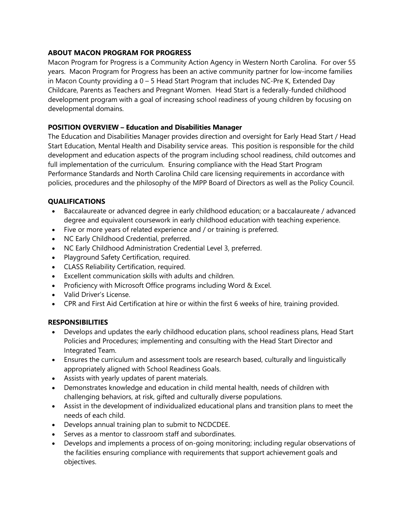## **ABOUT MACON PROGRAM FOR PROGRESS**

Macon Program for Progress is a Community Action Agency in Western North Carolina. For over 55 years. Macon Program for Progress has been an active community partner for low-income families in Macon County providing a  $0 - 5$  Head Start Program that includes NC-Pre K, Extended Day Childcare, Parents as Teachers and Pregnant Women. Head Start is a federally-funded childhood development program with a goal of increasing school readiness of young children by focusing on developmental domains.

### **POSITION OVERVIEW – Education and Disabilities Manager**

The Education and Disabilities Manager provides direction and oversight for Early Head Start / Head Start Education, Mental Health and Disability service areas. This position is responsible for the child development and education aspects of the program including school readiness, child outcomes and full implementation of the curriculum. Ensuring compliance with the Head Start Program Performance Standards and North Carolina Child care licensing requirements in accordance with policies, procedures and the philosophy of the MPP Board of Directors as well as the Policy Council.

## **QUALIFICATIONS**

- Baccalaureate or advanced degree in early childhood education; or a baccalaureate / advanced degree and equivalent coursework in early childhood education with teaching experience.
- Five or more years of related experience and / or training is preferred.
- NC Early Childhood Credential, preferred.
- NC Early Childhood Administration Credential Level 3, preferred.
- Playground Safety Certification, required.
- CLASS Reliability Certification, required.
- Excellent communication skills with adults and children.
- Proficiency with Microsoft Office programs including Word & Excel.
- Valid Driver's License.
- CPR and First Aid Certification at hire or within the first 6 weeks of hire, training provided.

# **RESPONSIBILITIES**

- Develops and updates the early childhood education plans, school readiness plans, Head Start Policies and Procedures; implementing and consulting with the Head Start Director and Integrated Team.
- Ensures the curriculum and assessment tools are research based, culturally and linguistically appropriately aligned with School Readiness Goals.
- Assists with yearly updates of parent materials.
- Demonstrates knowledge and education in child mental health, needs of children with challenging behaviors, at risk, gifted and culturally diverse populations.
- Assist in the development of individualized educational plans and transition plans to meet the needs of each child.
- Develops annual training plan to submit to NCDCDEE.
- Serves as a mentor to classroom staff and subordinates.
- Develops and implements a process of on-going monitoring; including regular observations of the facilities ensuring compliance with requirements that support achievement goals and objectives.